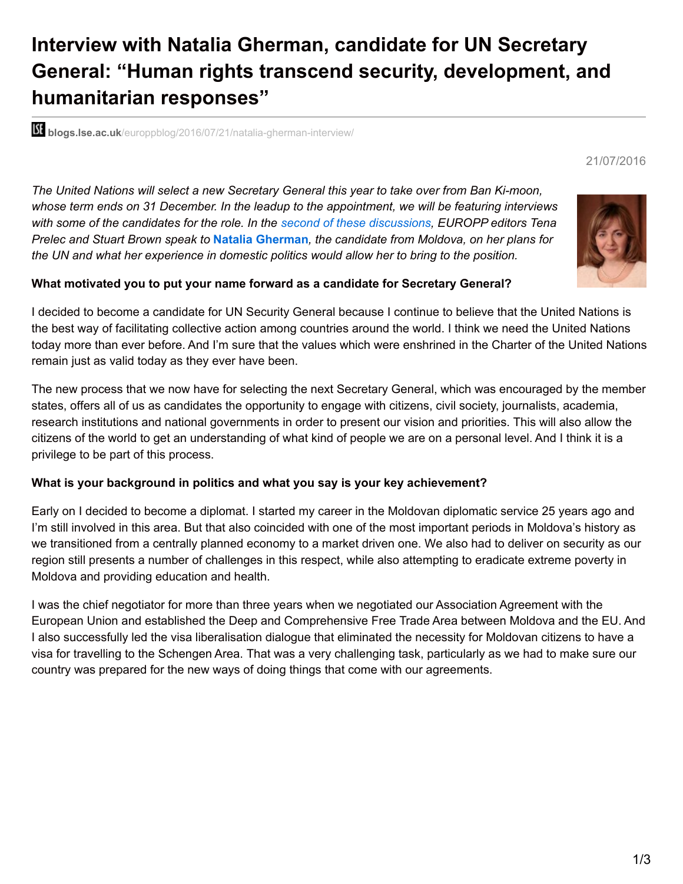# **Interview with Natalia Gherman, candidate for UN Secretary General: "Human rights transcend security, development, and humanitarian responses"**

**bli blogs.lse.ac.uk**[/europpblog/2016/07/21/natalia-gherman-interview/](http://blogs.lse.ac.uk/europpblog/2016/07/21/natalia-gherman-interview/)

*The United Nations will select a new Secretary General this year to take over from Ban Ki-moon, whose term ends on 31 December. In the leadup to the appointment, we will be featuring interviews with some of the candidates for the role. In the second of these [discussions](http://blogs.lse.ac.uk/europpblog/2016/07/19/un-sec-gen-igor-luksic-interview/), EUROPP editors Tena Prelec and Stuart Brown speak to* **Natalia Gherman***, the candidate from Moldova, on her plans for the UN and what her experience in domestic politics would allow her to bring to the position.*

#### **What motivated you to put your name forward as a candidate for Secretary General?**

I decided to become a candidate for UN Security General because I continue to believe that the United Nations is the best way of facilitating collective action among countries around the world. I think we need the United Nations today more than ever before. And I'm sure that the values which were enshrined in the Charter of the United Nations remain just as valid today as they ever have been.

The new process that we now have for selecting the next Secretary General, which was encouraged by the member states, offers all of us as candidates the opportunity to engage with citizens, civil society, journalists, academia, research institutions and national governments in order to present our vision and priorities. This will also allow the citizens of the world to get an understanding of what kind of people we are on a personal level. And I think it is a privilege to be part of this process.

#### **What is your background in politics and what you say is your key achievement?**

Early on I decided to become a diplomat. I started my career in the Moldovan diplomatic service 25 years ago and I'm still involved in this area. But that also coincided with one of the most important periods in Moldova's history as we transitioned from a centrally planned economy to a market driven one. We also had to deliver on security as our region still presents a number of challenges in this respect, while also attempting to eradicate extreme poverty in Moldova and providing education and health.

I was the chief negotiator for more than three years when we negotiated our Association Agreement with the European Union and established the Deep and Comprehensive Free Trade Area between Moldova and the EU. And I also successfully led the visa liberalisation dialogue that eliminated the necessity for Moldovan citizens to have a visa for travelling to the Schengen Area. That was a very challenging task, particularly as we had to make sure our country was prepared for the new ways of doing things that come with our agreements.



21/07/2016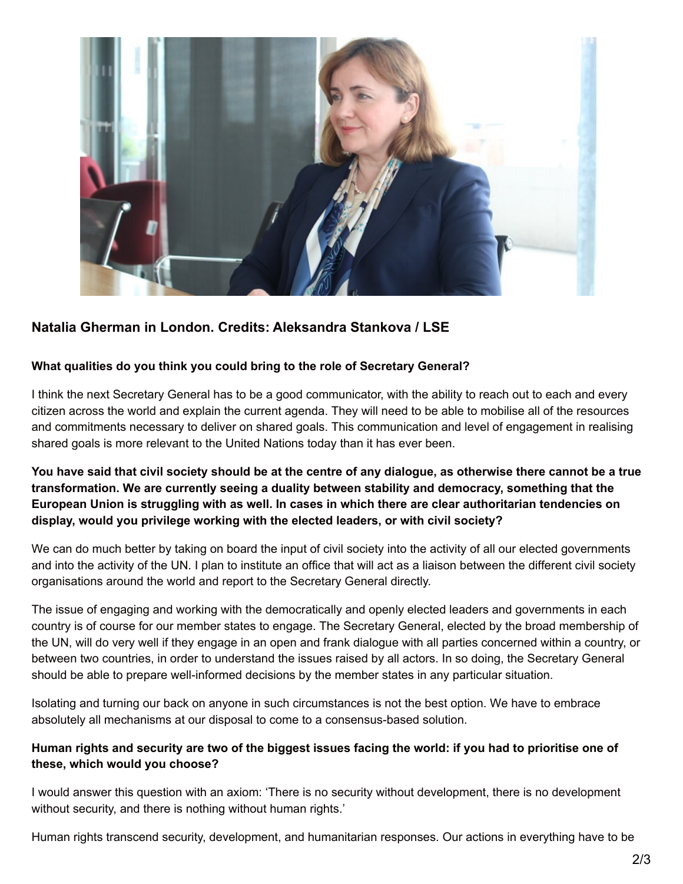

# **Natalia Gherman in London. Credits: Aleksandra Stankova / LSE**

#### **What qualities do you think you could bring to the role of Secretary General?**

I think the next Secretary General has to be a good communicator, with the ability to reach out to each and every citizen across the world and explain the current agenda. They will need to be able to mobilise all of the resources and commitments necessary to deliver on shared goals. This communication and level of engagement in realising shared goals is more relevant to the United Nations today than it has ever been.

## You have said that civil society should be at the centre of any dialogue, as otherwise there cannot be a true **transformation. We are currently seeing a duality between stability and democracy, something that the European Union is struggling with as well. In cases in which there are clear authoritarian tendencies on display, would you privilege working with the elected leaders, or with civil society?**

We can do much better by taking on board the input of civil society into the activity of all our elected governments and into the activity of the UN. I plan to institute an office that will act as a liaison between the different civil society organisations around the world and report to the Secretary General directly.

The issue of engaging and working with the democratically and openly elected leaders and governments in each country is of course for our member states to engage. The Secretary General, elected by the broad membership of the UN, will do very well if they engage in an open and frank dialogue with all parties concerned within a country, or between two countries, in order to understand the issues raised by all actors. In so doing, the Secretary General should be able to prepare well-informed decisions by the member states in any particular situation.

Isolating and turning our back on anyone in such circumstances is not the best option. We have to embrace absolutely all mechanisms at our disposal to come to a consensus-based solution.

### Human rights and security are two of the biggest issues facing the world: if you had to prioritise one of **these, which would you choose?**

I would answer this question with an axiom: 'There is no security without development, there is no development without security, and there is nothing without human rights.'

Human rights transcend security, development, and humanitarian responses. Our actions in everything have to be